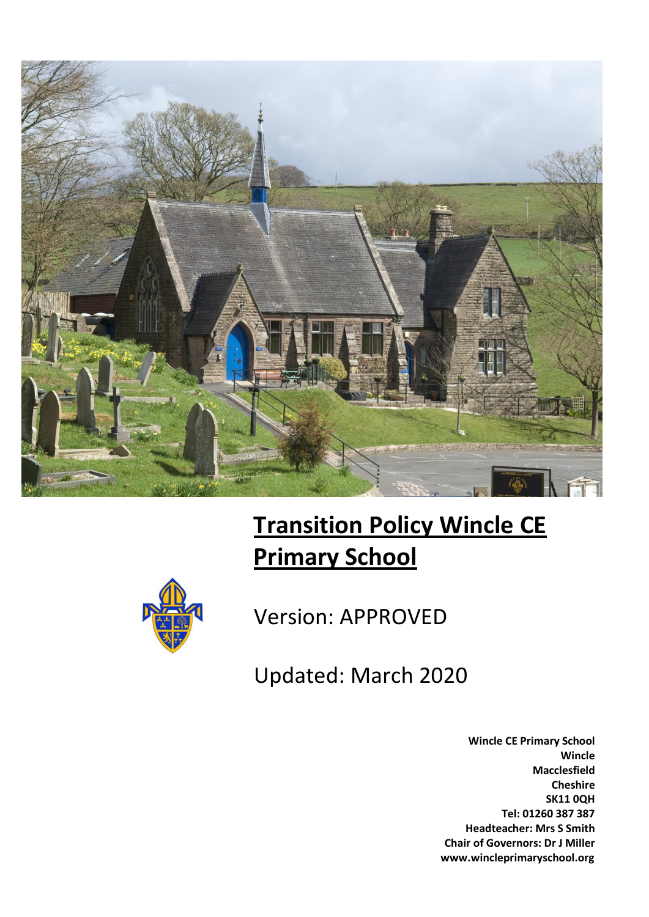

# **Transition Policy Wincle CE Primary School**



Version: APPROVED

Updated: March 2020

**Wincle CE Primary School Wincle Macclesfield Cheshire SK11 0QH Tel: 01260 387 387 Headteacher: Mrs S Smith Chair of Governors: Dr J Miller www.wincleprimaryschool.org**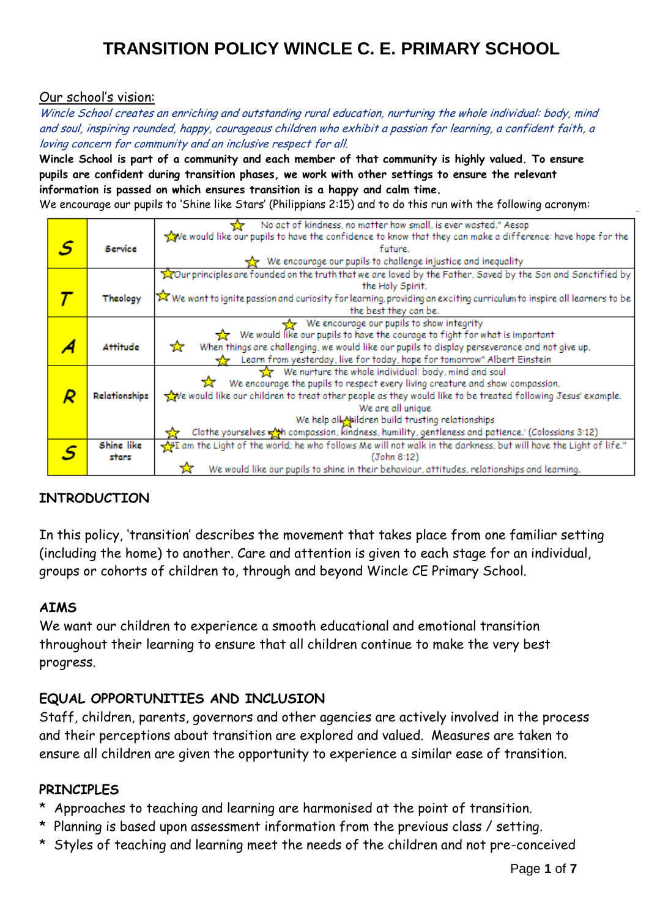#### Our school's vision:

Wincle School creates an enriching and outstanding rural education, nurturing the whole individual: body, mind and soul, inspiring rounded, happy, courageous children who exhibit a passion for learning, a confident faith, a loving concern for community and an inclusive respect for all.

**Wincle School is part of a community and each member of that community is highly valued. To ensure pupils are confident during transition phases, we work with other settings to ensure the relevant information is passed on which ensures transition is a happy and calm time.**

We encourage our pupils to 'Shine like Stars' (Philippians 2:15) and to do this run with the following acronym:

|  |                 | No act of kindness, no matter how small, is ever wasted." Aesop                                                                       |
|--|-----------------|---------------------------------------------------------------------------------------------------------------------------------------|
|  |                 | We would like our pupils to have the confidence to know that they can make a difference: have hope for the                            |
|  | Service         | future.                                                                                                                               |
|  |                 | $\frac{1}{22}$ We encourage our pupils to challenge injustice and inequality                                                          |
|  |                 |                                                                                                                                       |
|  |                 | Tour principles are founded on the truth that we are loved by the Father, Saved by the Son and Sanctified by                          |
|  |                 | the Holy Spirit.                                                                                                                      |
|  | Theology        | $\triangleright$ We want to ignite passion and curiosity for learning, providing an exciting curriculum to inspire all learners to be |
|  |                 | the best they can be.                                                                                                                 |
|  |                 | We encourage our pupils to show integrity                                                                                             |
|  |                 | We would like our pupils to have the courage to fight for what is important                                                           |
|  | <b>Attitude</b> | When things are challenging, we would like our pupils to display perseverance and not give up.<br>ਕੋ                                  |
|  |                 | Learn from yesterday, live for today, hope for tomorrow" Albert Einstein                                                              |
|  |                 | We nurture the whole individual: body, mind and soul                                                                                  |
|  |                 | We encourage the pupils to respect every living creature and show compassion.                                                         |
|  | Relationships   | we would like our children to treat other people as they would like to be treated following Jesus' example.                           |
|  |                 | We are all unique                                                                                                                     |
|  |                 | We help all bildren build trusting relationships                                                                                      |
|  |                 | Clothe yourselves with compassion, kindness, humility, gentleness and patience.' (Colossians 3:12)                                    |
|  | Shine like      | m the Light of the world; he who follows Me will not walk in the darkness, but will have the Light of life."                          |
|  | stars           | (John 8:12)                                                                                                                           |
|  |                 |                                                                                                                                       |
|  |                 | We would like our pupils to shine in their behaviour, attitudes, relationships and learning.                                          |

### **INTRODUCTION**

In this policy, 'transition' describes the movement that takes place from one familiar setting (including the home) to another. Care and attention is given to each stage for an individual, groups or cohorts of children to, through and beyond Wincle CE Primary School.

#### **AIMS**

We want our children to experience a smooth educational and emotional transition throughout their learning to ensure that all children continue to make the very best progress.

### **EQUAL OPPORTUNITIES AND INCLUSION**

Staff, children, parents, governors and other agencies are actively involved in the process and their perceptions about transition are explored and valued. Measures are taken to ensure all children are given the opportunity to experience a similar ease of transition.

#### **PRINCIPLES**

- \* Approaches to teaching and learning are harmonised at the point of transition.
- \* Planning is based upon assessment information from the previous class / setting.
- \* Styles of teaching and learning meet the needs of the children and not pre-conceived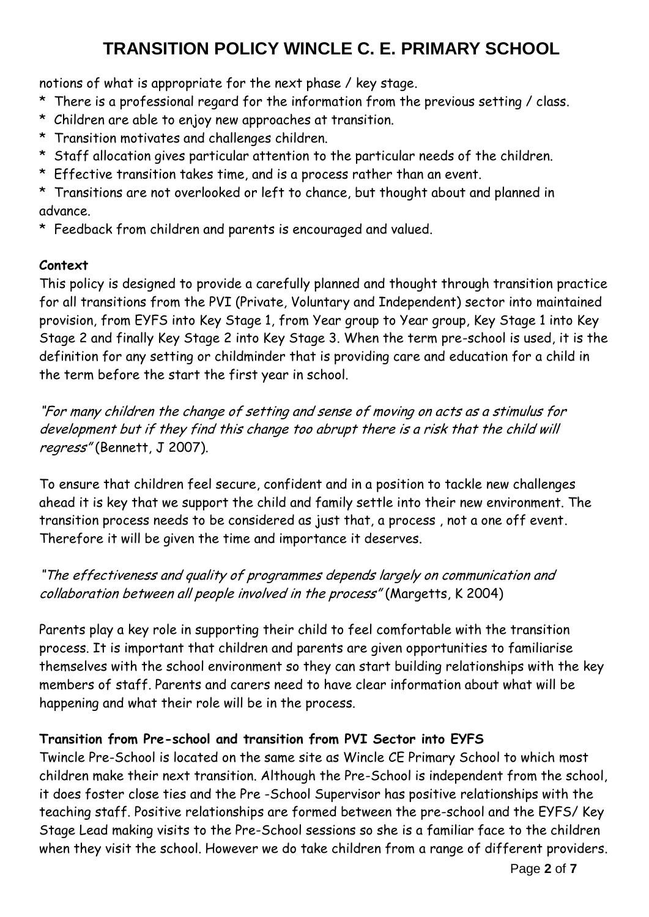notions of what is appropriate for the next phase / key stage.

- \* There is a professional regard for the information from the previous setting / class.
- \* Children are able to enjoy new approaches at transition.
- \* Transition motivates and challenges children.
- \* Staff allocation gives particular attention to the particular needs of the children.
- \* Effective transition takes time, and is a process rather than an event.
- \* Transitions are not overlooked or left to chance, but thought about and planned in advance.
- \* Feedback from children and parents is encouraged and valued.

### **Context**

This policy is designed to provide a carefully planned and thought through transition practice for all transitions from the PVI (Private, Voluntary and Independent) sector into maintained provision, from EYFS into Key Stage 1, from Year group to Year group, Key Stage 1 into Key Stage 2 and finally Key Stage 2 into Key Stage 3. When the term pre-school is used, it is the definition for any setting or childminder that is providing care and education for a child in the term before the start the first year in school.

"For many children the change of setting and sense of moving on acts as a stimulus for development but if they find this change too abrupt there is a risk that the child will regress" (Bennett, J 2007).

To ensure that children feel secure, confident and in a position to tackle new challenges ahead it is key that we support the child and family settle into their new environment. The transition process needs to be considered as just that, a process , not a one off event. Therefore it will be given the time and importance it deserves.

## "The effectiveness and quality of programmes depends largely on communication and collaboration between all people involved in the process" (Margetts, K 2004)

Parents play a key role in supporting their child to feel comfortable with the transition process. It is important that children and parents are given opportunities to familiarise themselves with the school environment so they can start building relationships with the key members of staff. Parents and carers need to have clear information about what will be happening and what their role will be in the process.

### **Transition from Pre-school and transition from PVI Sector into EYFS**

Twincle Pre-School is located on the same site as Wincle CE Primary School to which most children make their next transition. Although the Pre-School is independent from the school, it does foster close ties and the Pre -School Supervisor has positive relationships with the teaching staff. Positive relationships are formed between the pre-school and the EYFS/ Key Stage Lead making visits to the Pre-School sessions so she is a familiar face to the children when they visit the school. However we do take children from a range of different providers.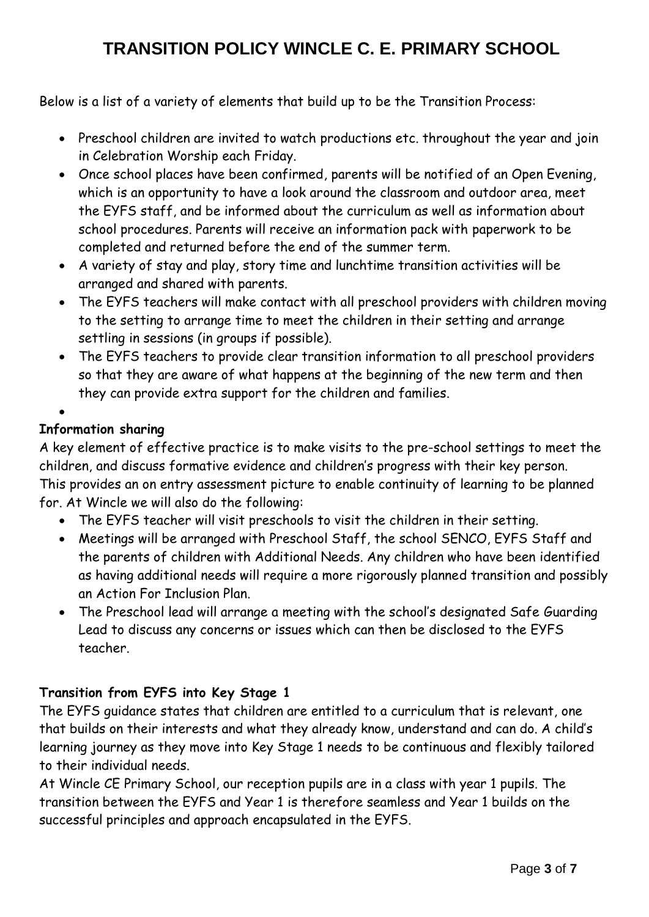Below is a list of a variety of elements that build up to be the Transition Process:

- Preschool children are invited to watch productions etc. throughout the year and join in Celebration Worship each Friday.
- Once school places have been confirmed, parents will be notified of an Open Evening, which is an opportunity to have a look around the classroom and outdoor area, meet the EYFS staff, and be informed about the curriculum as well as information about school procedures. Parents will receive an information pack with paperwork to be completed and returned before the end of the summer term.
- A variety of stay and play, story time and lunchtime transition activities will be arranged and shared with parents.
- The EYFS teachers will make contact with all preschool providers with children moving to the setting to arrange time to meet the children in their setting and arrange settling in sessions (in groups if possible).
- The EYFS teachers to provide clear transition information to all preschool providers so that they are aware of what happens at the beginning of the new term and then they can provide extra support for the children and families.

 $\bullet$ 

### **Information sharing**

A key element of effective practice is to make visits to the pre-school settings to meet the children, and discuss formative evidence and children's progress with their key person. This provides an on entry assessment picture to enable continuity of learning to be planned for. At Wincle we will also do the following:

- The EYFS teacher will visit preschools to visit the children in their setting.
- Meetings will be arranged with Preschool Staff, the school SENCO, EYFS Staff and the parents of children with Additional Needs. Any children who have been identified as having additional needs will require a more rigorously planned transition and possibly an Action For Inclusion Plan.
- The Preschool lead will arrange a meeting with the school's designated Safe Guarding Lead to discuss any concerns or issues which can then be disclosed to the EYFS teacher.

### **Transition from EYFS into Key Stage 1**

The EYFS guidance states that children are entitled to a curriculum that is relevant, one that builds on their interests and what they already know, understand and can do. A child's learning journey as they move into Key Stage 1 needs to be continuous and flexibly tailored to their individual needs.

At Wincle CE Primary School, our reception pupils are in a class with year 1 pupils. The transition between the EYFS and Year 1 is therefore seamless and Year 1 builds on the successful principles and approach encapsulated in the EYFS.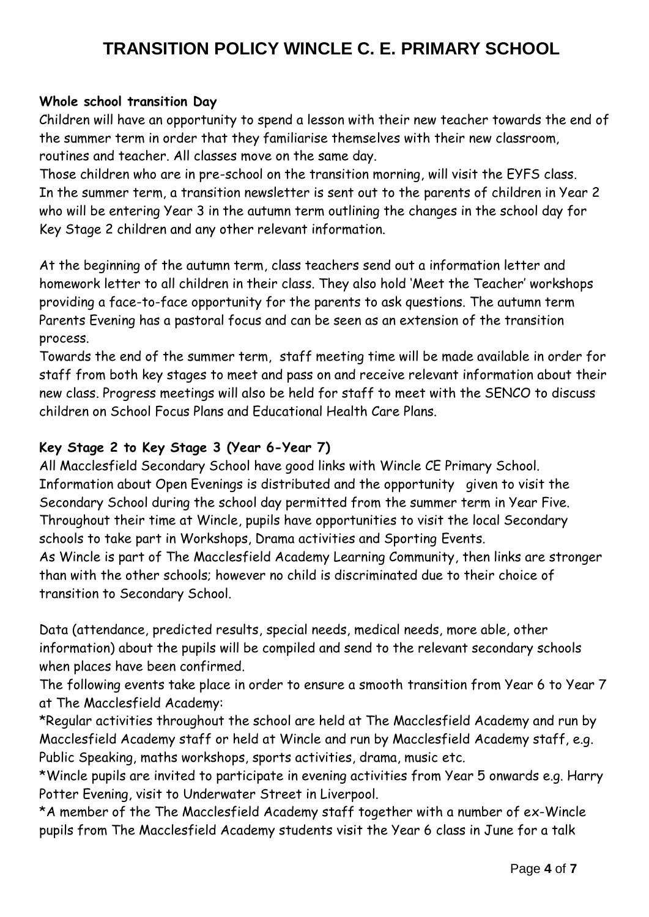#### **Whole school transition Day**

Children will have an opportunity to spend a lesson with their new teacher towards the end of the summer term in order that they familiarise themselves with their new classroom, routines and teacher. All classes move on the same day.

Those children who are in pre-school on the transition morning, will visit the EYFS class. In the summer term, a transition newsletter is sent out to the parents of children in Year 2 who will be entering Year 3 in the autumn term outlining the changes in the school day for Key Stage 2 children and any other relevant information.

At the beginning of the autumn term, class teachers send out a information letter and homework letter to all children in their class. They also hold 'Meet the Teacher' workshops providing a face-to-face opportunity for the parents to ask questions. The autumn term Parents Evening has a pastoral focus and can be seen as an extension of the transition process.

Towards the end of the summer term, staff meeting time will be made available in order for staff from both key stages to meet and pass on and receive relevant information about their new class. Progress meetings will also be held for staff to meet with the SENCO to discuss children on School Focus Plans and Educational Health Care Plans.

### **Key Stage 2 to Key Stage 3 (Year 6-Year 7)**

All Macclesfield Secondary School have good links with Wincle CE Primary School. Information about Open Evenings is distributed and the opportunity given to visit the Secondary School during the school day permitted from the summer term in Year Five. Throughout their time at Wincle, pupils have opportunities to visit the local Secondary schools to take part in Workshops, Drama activities and Sporting Events.

As Wincle is part of The Macclesfield Academy Learning Community, then links are stronger than with the other schools; however no child is discriminated due to their choice of transition to Secondary School.

Data (attendance, predicted results, special needs, medical needs, more able, other information) about the pupils will be compiled and send to the relevant secondary schools when places have been confirmed.

The following events take place in order to ensure a smooth transition from Year 6 to Year 7 at The Macclesfield Academy:

\*Regular activities throughout the school are held at The Macclesfield Academy and run by Macclesfield Academy staff or held at Wincle and run by Macclesfield Academy staff, e.g. Public Speaking, maths workshops, sports activities, drama, music etc.

\*Wincle pupils are invited to participate in evening activities from Year 5 onwards e.g. Harry Potter Evening, visit to Underwater Street in Liverpool.

\*A member of the The Macclesfield Academy staff together with a number of ex-Wincle pupils from The Macclesfield Academy students visit the Year 6 class in June for a talk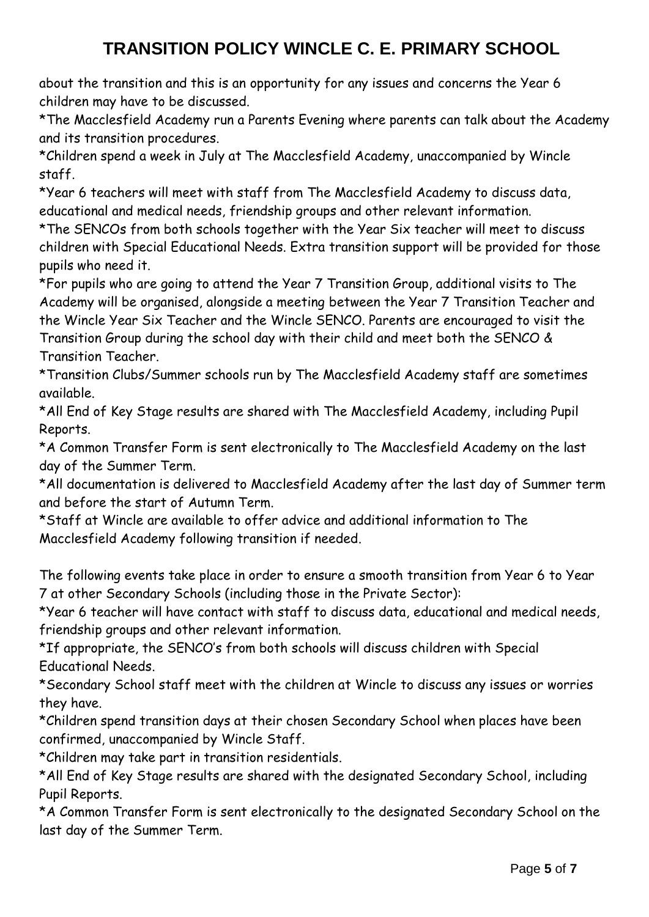about the transition and this is an opportunity for any issues and concerns the Year 6 children may have to be discussed.

\*The Macclesfield Academy run a Parents Evening where parents can talk about the Academy and its transition procedures.

\*Children spend a week in July at The Macclesfield Academy, unaccompanied by Wincle staff.

\*Year 6 teachers will meet with staff from The Macclesfield Academy to discuss data, educational and medical needs, friendship groups and other relevant information.

\*The SENCOs from both schools together with the Year Six teacher will meet to discuss children with Special Educational Needs. Extra transition support will be provided for those pupils who need it.

\*For pupils who are going to attend the Year 7 Transition Group, additional visits to The Academy will be organised, alongside a meeting between the Year 7 Transition Teacher and the Wincle Year Six Teacher and the Wincle SENCO. Parents are encouraged to visit the Transition Group during the school day with their child and meet both the SENCO & Transition Teacher.

\*Transition Clubs/Summer schools run by The Macclesfield Academy staff are sometimes available.

\*All End of Key Stage results are shared with The Macclesfield Academy, including Pupil Reports.

\*A Common Transfer Form is sent electronically to The Macclesfield Academy on the last day of the Summer Term.

\*All documentation is delivered to Macclesfield Academy after the last day of Summer term and before the start of Autumn Term.

\*Staff at Wincle are available to offer advice and additional information to The Macclesfield Academy following transition if needed.

The following events take place in order to ensure a smooth transition from Year 6 to Year 7 at other Secondary Schools (including those in the Private Sector):

\*Year 6 teacher will have contact with staff to discuss data, educational and medical needs, friendship groups and other relevant information.

\*If appropriate, the SENCO's from both schools will discuss children with Special Educational Needs.

\*Secondary School staff meet with the children at Wincle to discuss any issues or worries they have.

\*Children spend transition days at their chosen Secondary School when places have been confirmed, unaccompanied by Wincle Staff.

\*Children may take part in transition residentials.

\*All End of Key Stage results are shared with the designated Secondary School, including Pupil Reports.

\*A Common Transfer Form is sent electronically to the designated Secondary School on the last day of the Summer Term.